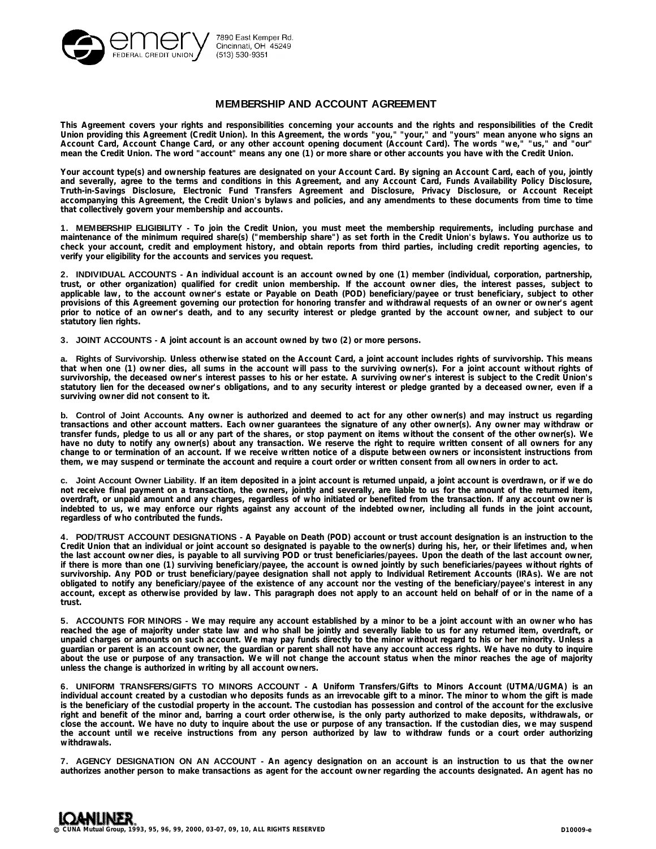

# **MEMBERSHIP AND ACCOUNT AGREEMENT**

This Agreement covers your rights and responsibilities concerning your accounts and the rights and responsibilities of the Credit Union providing this Agreement (Credit Union). In this Agreement, the words "you," "your," and "yours" mean anyone who signs an Account Card, Account Change Card, or any other account opening document (Account Card). The words "we," "us," and "our" **mean the Credit Union. The word "account" means any one (1) or more share or other accounts you have with the Credit Union.** 

Your account type(s) and ownership features are designated on your Account Card. By signing an Account Card, each of you, jointly and severally, agree to the terms and conditions in this Agreement, and any Account Card, Funds Availability Policy Disclosure, **Truth-in-Savings Disclosure, Electronic Fund Transfers Agreement and Disclosure, Privacy Disclosure, or Account Receipt** accompanying this Agreement, the Credit Union's bylaws and policies, and any amendments to these documents from time to time **that collectively govern your membership and accounts.** 

1. MEMBERSHIP ELIGIBILITY - To join the Credit Union, you must meet the membership requirements, including purchase and maintenance of the minimum required share(s) ("membership share") as set forth in the Credit Union's bylaws. You authorize us to check your account, credit and employment history, and obtain reports from third parties, including credit reporting agencies, to **verify your eligibility for the accounts and services you request.**

**2. INDIVIDUAL ACCOUNTS -** An individual account is an account owned by one (1) member (individual, corporation, partnership, trust, or other organization) qualified for credit union membership. If the account owner dies, the interest passes, subject to applicable law, to the account owner's estate or Payable on Death (POD) beneficiary/payee or trust beneficiary, subject to other provisions of this Agreement governing our protection for honoring transfer and withdrawal requests of an owner or owner's agent prior to notice of an owner's death, and to any security interest or pledge granted by the account owner, and subject to our **statutory lien rights.** 

**3. JOINT ACCOUNTS - A joint account is an account owned by two (2) or more persons.**

a. Rights of Survivorship. Unless otherwise stated on the Account Card, a joint account includes rights of survivorship. This means that when one (1) owner dies, all sums in the account will pass to the surviving owner(s). For a joint account without rights of survivorship, the deceased owner's interest passes to his or her estate. A surviving owner's interest is subject to the Credit Union's statutory lien for the deceased owner's obligations, and to any security interest or pledge granted by a deceased owner, even if a **surviving owner did not consent to it.** 

b. Control of Joint Accounts. Any owner is authorized and deemed to act for any other owner(s) and may instruct us regarding transactions and other account matters. Each owner quarantees the signature of any other owner(s). Any owner may withdraw or transfer funds, pledge to us all or any part of the shares, or stop payment on items without the consent of the other owner(s). We have no duty to notify any owner(s) about any transaction. We reserve the right to require written consent of all owners for any change to or termination of an account. If we receive written notice of a dispute between owners or inconsistent instructions from **them, we may suspend or terminate the account and require a court order or written consent from all owners in order to act.**

c. Joint Account Owner Liability. If an item deposited in a joint account is returned unpaid, a joint account is overdrawn, or if we do not receive final payment on a transaction, the owners, jointly and severally, are liable to us for the amount of the returned item, overdraft, or unpaid amount and any charges, regardless of who initiated or benefited from the transaction. If any account owner is indebted to us, we may enforce our rights against any account of the indebted owner, including all funds in the joint account, **regardless of who contributed the funds.** 

4. POD/TRUST ACCOUNT DESIGNATIONS - A Payable on Death (POD) account or trust account designation is an instruction to the Credit Union that an individual or joint account so designated is payable to the owner(s) during his, her, or their lifetimes and, when the last account owner dies, is payable to all surviving POD or trust beneficiaries/payees. Upon the death of the last account owner, if there is more than one (1) surviving beneficiary/payee, the account is owned jointly by such beneficiaries/payees without rights of survivorship. Any POD or trust beneficiary/payee designation shall not apply to Individual Retirement Accounts (IRAs). We are not obligated to notify any beneficiary/payee of the existence of any account nor the vesting of the beneficiary/payee's interest in any account, except as otherwise provided by law. This paragraph does not apply to an account held on behalf of or in the name of a **trust.**

5. ACCOUNTS FOR MINORS - We may require any account established by a minor to be a joint account with an owner who has reached the age of majority under state law and who shall be jointly and severally liable to us for any returned item, overdraft, or unpaid charges or amounts on such account. We may pay funds directly to the minor without regard to his or her minority. Unless a guardian or parent is an account owner, the guardian or parent shall not have any account access rights. We have no duty to inquire about the use or purpose of any transaction. We will not change the account status when the minor reaches the age of majority **unless the change is authorized in writing by all account owners.**

**6. UNIFORM TRANSFERS/GIFTS TO MINORS ACCOUNT - A Uniform Transfers/Gifts to Minors Account (UTMA/UGMA) is an** individual account created by a custodian who deposits funds as an irrevocable gift to a minor. The minor to whom the gift is made is the beneficiary of the custodial property in the account. The custodian has possession and control of the account for the exclusive right and benefit of the minor and, barring a court order otherwise, is the only party authorized to make deposits, withdrawals, or close the account. We have no duty to inquire about the use or purpose of any transaction. If the custodian dies, we may suspend the account until we receive instructions from any person authorized by law to withdraw funds or a court order authorizing **withdrawals.**

7. AGENCY DESIGNATION ON AN ACCOUNT - An agency designation on an account is an instruction to us that the owner authorizes another person to make transactions as agent for the account owner regarding the accounts designated. An agent has no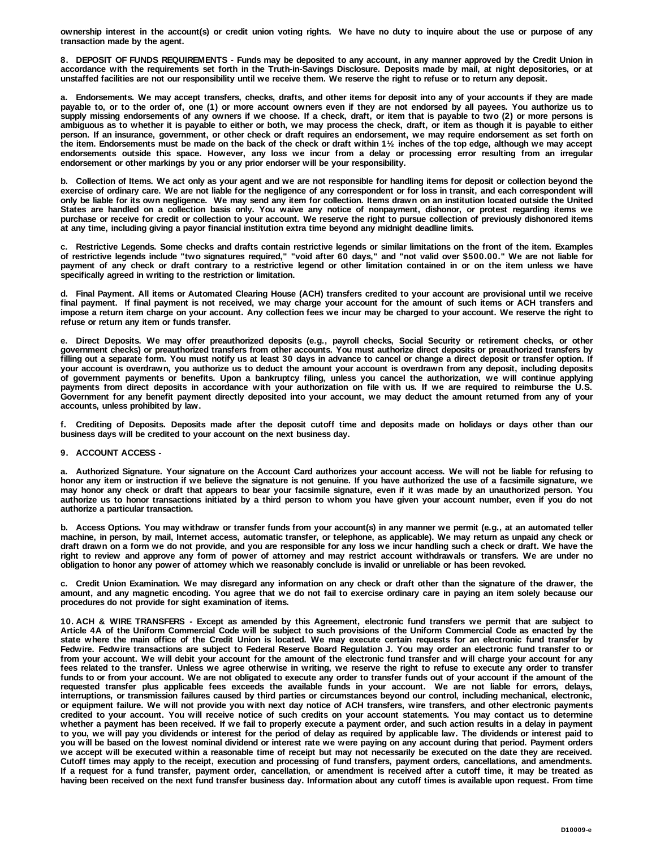ownership interest in the account(s) or credit union voting rights. We have no duty to inquire about the use or purpose of any **transaction made by the agent.**

8. DEPOSIT OF FUNDS REQUIREMENTS - Funds may be deposited to any account, in any manner approved by the Credit Union in accordance with the requirements set forth in the Truth-in-Savings Disclosure. Deposits made by mail, at night depositories, or at **unstaffed facilities are not our responsibility until we receive them. We reserve the right to refuse or to return any deposit.**

a. Endorsements. We may accept transfers, checks, drafts, and other items for deposit into any of your accounts if they are made payable to, or to the order of, one (1) or more account owners even if they are not endorsed by all payees. You authorize us to supply missing endorsements of any owners if we choose. If a check, draft, or item that is payable to two (2) or more persons is ambiguous as to whether it is payable to either or both, we may process the check, draft, or item as though it is payable to either person. If an insurance, government, or other check or draft requires an endorsement, we may require endorsement as set forth on the item. Endorsements must be made on the back of the check or draft within 1½ inches of the top edge, although we may accept endorsements outside this space. However, any loss we incur from a delay or processing error resulting from an irregular **endorsement or other markings by you or any prior endorser will be your responsibility.**

b. Collection of Items. We act only as your agent and we are not responsible for handling items for deposit or collection beyond the exercise of ordinary care. We are not liable for the negligence of any correspondent or for loss in transit, and each correspondent will only be liable for its own negligence. We may send any item for collection. Items drawn on an institution located outside the United States are handled on a collection basis only. You waive any notice of nonpayment, dishonor, or protest regarding items we purchase or receive for credit or collection to your account. We reserve the right to pursue collection of previously dishonored items **at any time, including giving a payor financial institution extra time beyond any midnight deadline limits.**

c. Restrictive Legends. Some checks and drafts contain restrictive legends or similar limitations on the front of the item. Examples of restrictive legends include "two signatures required," "void after 60 days," and "not valid over \$500.00." We are not liable for payment of any check or draft contrary to a restrictive legend or other limitation contained in or on the item unless we have **specifically agreed in writing to the restriction or limitation.**

d. Final Payment. All items or Automated Clearing House (ACH) transfers credited to your account are provisional until we receive final payment. If final payment is not received, we may charge your account for the amount of such items or ACH transfers and impose a return item charge on your account. Any collection fees we incur may be charged to your account. We reserve the right to **refuse or return any item or funds transfer.**

**e. Direct Deposits.** We may offer preauthorized deposits (e.g., payroll checks, Social Security or retirement checks, or other government checks) or preauthorized transfers from other accounts. You must authorize direct deposits or preauthorized transfers by filling out a separate form. You must notify us at least 30 days in advance to cancel or change a direct deposit or transfer option. If your account is overdrawn, you authorize us to deduct the amount your account is overdrawn from any deposit, including deposits of government payments or benefits. Upon a bankruptcy filing, unless you cancel the authorization, we will continue applying payments from direct deposits in accordance with your authorization on file with us. If we are required to reimburse the U.S. Government for any benefit payment directly deposited into your account, we may deduct the amount returned from any of your **accounts, unless prohibited by law.**

f. Crediting of Deposits. Deposits made after the deposit cutoff time and deposits made on holidays or days other than our **business days will be credited to your account on the next business day.**

# **9. ACCOUNT ACCESS -**

a. Authorized Signature. Your signature on the Account Card authorizes your account access. We will not be liable for refusing to honor any item or instruction if we believe the signature is not genuine. If you have authorized the use of a facsimile signature, we may honor any check or draft that appears to bear your facsimile signature, even if it was made by an unauthorized person. You authorize us to honor transactions initiated by a third person to whom you have given your account number, even if you do not **authorize a particular transaction.**

b. Access Options. You may withdraw or transfer funds from your account(s) in any manner we permit (e.g., at an automated teller machine, in person, by mail, Internet access, automatic transfer, or telephone, as applicable). We may return as unpaid any check or draft drawn on a form we do not provide, and you are responsible for any loss we incur handling such a check or draft. We have the right to review and approve any form of power of attorney and may restrict account withdrawals or transfers. We are under no **obligation to honor any power of attorney which we reasonably conclude is invalid or unreliable or has been revoked.**

c. Credit Union Examination. We may disregard any information on any check or draft other than the signature of the drawer, the amount, and any magnetic encoding. You agree that we do not fail to exercise ordinary care in paying an item solely because our **procedures do not provide for sight examination of items.**

10. ACH & WIRE TRANSFERS - Except as amended by this Agreement, electronic fund transfers we permit that are subject to Article 4A of the Uniform Commercial Code will be subject to such provisions of the Uniform Commercial Code as enacted by the state where the main office of the Credit Union is located. We may execute certain requests for an electronic fund transfer by Fedwire. Fedwire transactions are subject to Federal Reserve Board Regulation J. You may order an electronic fund transfer to or from your account. We will debit your account for the amount of the electronic fund transfer and will charge your account for any fees related to the transfer. Unless we agree otherwise in writing, we reserve the right to refuse to execute any order to transfer funds to or from your account. We are not obligated to execute any order to transfer funds out of your account if the amount of the requested transfer plus applicable fees exceeds the available funds in your account. We are not liable for errors, delays, interruptions, or transmission failures caused by third parties or circumstances beyond our control, including mechanical, electronic, or equipment failure. We will not provide you with next day notice of ACH transfers, wire transfers, and other electronic payments credited to your account. You will receive notice of such credits on your account statements. You may contact us to determine whether a payment has been received. If we fail to properly execute a payment order, and such action results in a delay in payment to you, we will pay you dividends or interest for the period of delay as required by applicable law. The dividends or interest paid to you will be based on the lowest nominal dividend or interest rate we were paying on any account during that period. Payment orders we accept will be executed within a reasonable time of receipt but may not necessarily be executed on the date they are received. Cutoff times may apply to the receipt, execution and processing of fund transfers, payment orders, cancellations, and amendments. If a request for a fund transfer, payment order, cancellation, or amendment is received after a cutoff time, it may be treated as having been received on the next fund transfer business day. Information about any cutoff times is available upon request. From time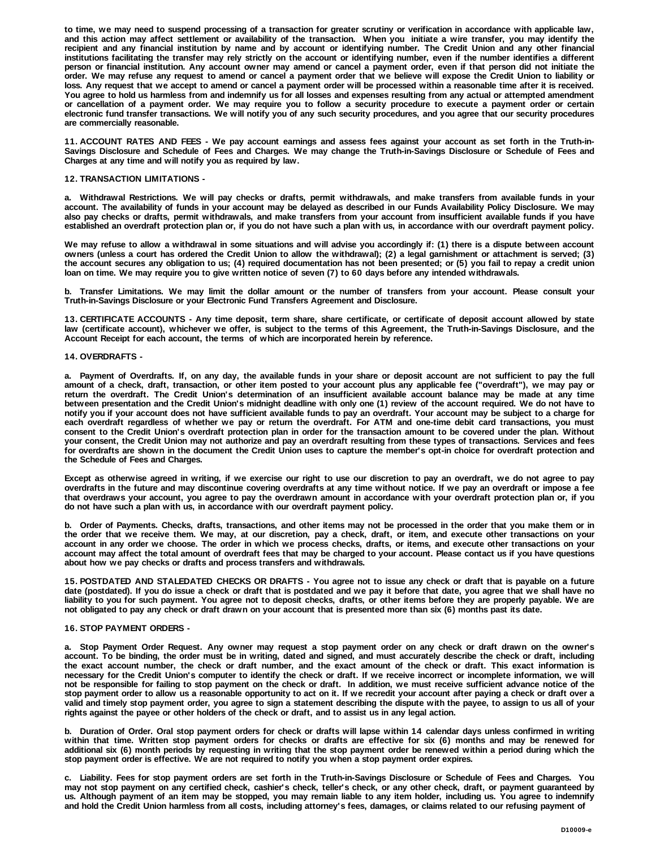to time, we may need to suspend processing of a transaction for greater scrutiny or verification in accordance with applicable law, and this action may affect settlement or availability of the transaction. When you initiate a wire transfer, you may identify the recipient and any financial institution by name and by account or identifying number. The Credit Union and any other financial institutions facilitating the transfer may rely strictly on the account or identifying number, even if the number identifies a different person or financial institution. Any account owner may amend or cancel a payment order, even if that person did not initiate the order. We may refuse any request to amend or cancel a payment order that we believe will expose the Credit Union to liability or loss. Any request that we accept to amend or cancel a payment order will be processed within a reasonable time after it is received. You agree to hold us harmless from and indemnify us for all losses and expenses resulting from any actual or attempted amendment or cancellation of a payment order. We may require you to follow a security procedure to execute a payment order or certain electronic fund transfer transactions. We will notify you of any such security procedures, and you agree that our security procedures **are commercially reasonable.**

11. ACCOUNT RATES AND FEES - We pay account earnings and assess fees against your account as set forth in the Truth-in-Savings Disclosure and Schedule of Fees and Charges. We may change the Truth-in-Savings Disclosure or Schedule of Fees and **Charges at any time and will notify you as required by law.** 

## **12. TRANSACTION LIMITATIONS -**

a. Withdrawal Restrictions. We will pay checks or drafts, permit withdrawals, and make transfers from available funds in your account. The availability of funds in your account may be delayed as described in our Funds Availability Policy Disclosure. We may also pay checks or drafts, permit withdrawals, and make transfers from your account from insufficient available funds if you have established an overdraft protection plan or, if you do not have such a plan with us, in accordance with our overdraft payment policy.

We may refuse to allow a withdrawal in some situations and will advise you accordingly if: (1) there is a dispute between account owners (unless a court has ordered the Credit Union to allow the withdrawal); (2) a legal garnishment or attachment is served; (3) the account secures any obligation to us; (4) required documentation has not been presented; or (5) you fail to repay a credit union **loan on time. We may require you to give written notice of seven (7) to 60 days before any intended withdrawals.** 

b. Transfer Limitations. We may limit the dollar amount or the number of transfers from your account. Please consult your **Truth-in-Savings Disclosure or your Electronic Fund Transfers Agreement and Disclosure.**

13. CERTIFICATE ACCOUNTS - Any time deposit, term share, share certificate, or certificate of deposit account allowed by state law (certificate account), whichever we offer, is subject to the terms of this Agreement, the Truth-in-Savings Disclosure, and the **Account Receipt for each account, the terms of which are incorporated herein by reference.** 

## **14. OVERDRAFTS -**

a. Payment of Overdrafts. If, on any day, the available funds in your share or deposit account are not sufficient to pay the full amount of a check, draft, transaction, or other item posted to your account plus any applicable fee ("overdraft"), we may pay or return the overdraft. The Credit Union's determination of an insufficient available account balance may be made at any time between presentation and the Credit Union's midnight deadline with only one (1) review of the account required. We do not have to notify you if your account does not have sufficient available funds to pay an overdraft. Your account may be subject to a charge for each overdraft regardless of whether we pay or return the overdraft. For ATM and one-time debit card transactions, you must consent to the Credit Union's overdraft protection plan in order for the transaction amount to be covered under the plan. Without your consent, the Credit Union may not authorize and pay an overdraft resulting from these types of transactions. Services and fees for overdrafts are shown in the document the Credit Union uses to capture the member's opt-in choice for overdraft protection and **the Schedule of Fees and Charges.** 

Except as otherwise agreed in writing, if we exercise our right to use our discretion to pay an overdraft, we do not agree to pay overdrafts in the future and may discontinue covering overdrafts at any time without notice. If we pay an overdraft or impose a fee that overdraws your account, you agree to pay the overdrawn amount in accordance with your overdraft protection plan or, if you **do not have such a plan with us, in accordance with our overdraft payment policy.** 

b. Order of Payments. Checks, drafts, transactions, and other items may not be processed in the order that you make them or in the order that we receive them. We may, at our discretion, pay a check, draft, or item, and execute other transactions on your account in any order we choose. The order in which we process checks, drafts, or items, and execute other transactions on your account may affect the total amount of overdraft fees that may be charged to your account. Please contact us if you have questions **about how we pay checks or drafts and process transfers and withdrawals.** 

15. POSTDATED AND STALEDATED CHECKS OR DRAFTS - You agree not to issue any check or draft that is payable on a future date (postdated). If you do issue a check or draft that is postdated and we pay it before that date, you agree that we shall have no liability to you for such payment. You agree not to deposit checks, drafts, or other items before they are properly payable. We are **not obligated to pay any check or draft drawn on your account that is presented more than six (6) months past its date.**

### **16. STOP PAYMENT ORDERS -**

a. Stop Payment Order Request. Any owner may request a stop payment order on any check or draft drawn on the owner's account. To be binding, the order must be in writing, dated and signed, and must accurately describe the check or draft, including the exact account number, the check or draft number, and the exact amount of the check or draft. This exact information is necessary for the Credit Union's computer to identify the check or draft. If we receive incorrect or incomplete information, we will not be responsible for failing to stop payment on the check or draft. In addition, we must receive sufficient advance notice of the stop payment order to allow us a reasonable opportunity to act on it. If we recredit your account after paying a check or draft over a valid and timely stop payment order, you agree to sign a statement describing the dispute with the payee, to assign to us all of your **rights against the payee or other holders of the check or draft, and to assist us in any legal action.** 

b. Duration of Order. Oral stop payment orders for check or drafts will lapse within 14 calendar days unless confirmed in writing within that time. Written stop payment orders for checks or drafts are effective for six (6) months and may be renewed for additional six (6) month periods by requesting in writing that the stop payment order be renewed within a period during which the **stop payment order is effective. We are not required to notify you when a stop payment order expires.** 

c. Liability. Fees for stop payment orders are set forth in the Truth-in-Savings Disclosure or Schedule of Fees and Charges. You may not stop payment on any certified check, cashier's check, teller's check, or any other check, draft, or payment guaranteed by us. Although payment of an item may be stopped, you may remain liable to any item holder, including us. You agree to indemnify **and hold the Credit Union harmless from all costs, including attorney's fees, damages, or claims related to our refusing payment of**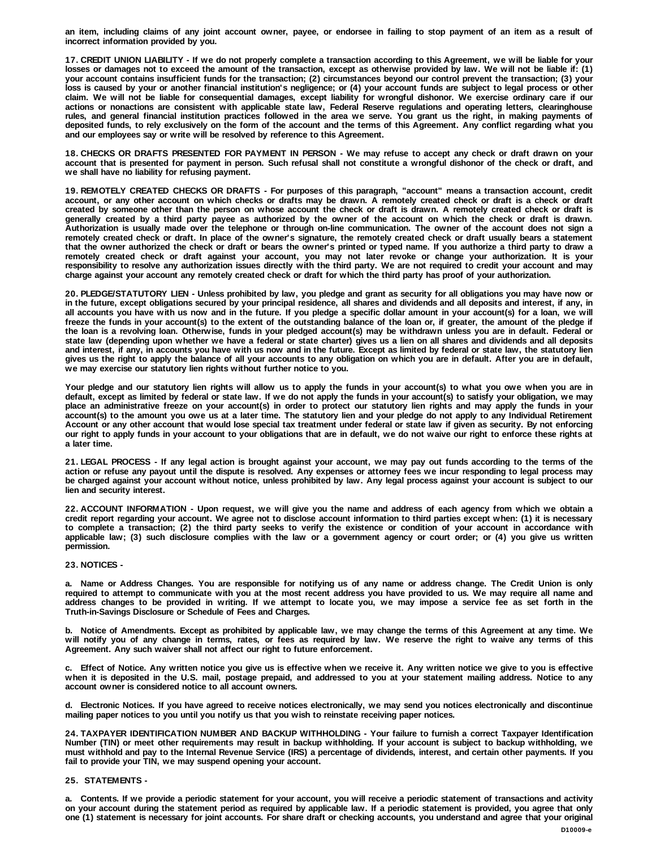an item, including claims of any joint account owner, payee, or endorsee in failing to stop payment of an item as a result of **incorrect information provided by you.**

17. CREDIT UNION LIABILITY - If we do not properly complete a transaction according to this Agreement, we will be liable for your losses or damages not to exceed the amount of the transaction, except as otherwise provided by law. We will not be liable if: (1) your account contains insufficient funds for the transaction; (2) circumstances beyond our control prevent the transaction; (3) your loss is caused by your or another financial institution's negligence; or (4) your account funds are subject to legal process or other claim. We will not be liable for consequential damages, except liability for wrongful dishonor. We exercise ordinary care if our actions or nonactions are consistent with applicable state law, Federal Reserve regulations and operating letters, clearinghouse rules, and general financial institution practices followed in the area we serve. You grant us the right, in making payments of deposited funds, to rely exclusively on the form of the account and the terms of this Agreement. Any conflict regarding what you **and our employees say or write will be resolved by reference to this Agreement.**

18. CHECKS OR DRAFTS PRESENTED FOR PAYMENT IN PERSON - We may refuse to accept any check or draft drawn on your account that is presented for payment in person. Such refusal shall not constitute a wrongful dishonor of the check or draft, and **we shall have no liability for refusing payment.** 

19. REMOTELY CREATED CHECKS OR DRAFTS - For purposes of this paragraph, "account" means a transaction account, credit account, or any other account on which checks or drafts may be drawn. A remotely created check or draft is a check or draft created by someone other than the person on whose account the check or draft is drawn. A remotely created check or draft is generally created by a third party payee as authorized by the owner of the account on which the check or draft is drawn. Authorization is usually made over the telephone or through on-line communication. The owner of the account does not sign a remotely created check or draft. In place of the owner's signature, the remotely created check or draft usually bears a statement that the owner authorized the check or draft or bears the owner's printed or typed name. If you authorize a third party to draw a remotely created check or draft against your account, you may not later revoke or change your authorization. It is your responsibility to resolve any authorization issues directly with the third party. We are not required to credit your account and may **charge against your account any remotely created check or draft for which the third party has proof of your authorization.**

20. PLEDGE/STATUTORY LIEN - Unless prohibited by law, you pledge and grant as security for all obligations you may have now or in the future, except obligations secured by your principal residence, all shares and dividends and all deposits and interest, if any, in all accounts you have with us now and in the future. If you pledge a specific dollar amount in your account(s) for a loan, we will freeze the funds in your account(s) to the extent of the outstanding balance of the loan or, if greater, the amount of the pledge if the loan is a revolving loan. Otherwise, funds in your pledged account(s) may be withdrawn unless you are in default. Federal or state law (depending upon whether we have a federal or state charter) gives us a lien on all shares and dividends and all deposits and interest, if any, in accounts you have with us now and in the future. Except as limited by federal or state law, the statutory lien gives us the right to apply the balance of all your accounts to any obligation on which you are in default. After you are in default, **we may exercise our statutory lien rights without further notice to you.** 

Your pledge and our statutory lien rights will allow us to apply the funds in your account(s) to what you owe when you are in default, except as limited by federal or state law. If we do not apply the funds in your account(s) to satisfy your obligation, we may place an administrative freeze on your account(s) in order to protect our statutory lien rights and may apply the funds in your account(s) to the amount you owe us at a later time. The statutory lien and your pledge do not apply to any Individual Retirement Account or any other account that would lose special tax treatment under federal or state law if given as security. By not enforcing our right to apply funds in your account to your obligations that are in default, we do not waive our right to enforce these rights at **a later time.** 

21. LEGAL PROCESS - If any legal action is brought against your account, we may pay out funds according to the terms of the action or refuse any payout until the dispute is resolved. Any expenses or attorney fees we incur responding to legal process may be charged against your account without notice, unless prohibited by law. Any legal process against your account is subject to our **lien and security interest.**

22. ACCOUNT INFORMATION - Upon request, we will give you the name and address of each agency from which we obtain a credit report regarding your account. We agree not to disclose account information to third parties except when: (1) it is necessary to complete a transaction; (2) the third party seeks to verify the existence or condition of your account in accordance with applicable law; (3) such disclosure complies with the law or a government agency or court order; or (4) you give us written **permission.**

### **23. NOTICES -**

a. Name or Address Changes. You are responsible for notifying us of any name or address change. The Credit Union is only required to attempt to communicate with you at the most recent address you have provided to us. We may require all name and address changes to be provided in writing. If we attempt to locate you, we may impose a service fee as set forth in the **Truth-in-Savings Disclosure or Schedule of Fees and Charges.**

b. Notice of Amendments. Except as prohibited by applicable law, we may change the terms of this Agreement at any time. We will notify you of any change in terms, rates, or fees as required by law. We reserve the right to waive any terms of this **Agreement. Any such waiver shall not affect our right to future enforcement.** 

c. Effect of Notice. Any written notice you give us is effective when we receive it. Any written notice we give to you is effective when it is deposited in the U.S. mail, postage prepaid, and addressed to you at your statement mailing address. Notice to any **account owner is considered notice to all account owners.**

d. Electronic Notices. If you have agreed to receive notices electronically, we may send you notices electronically and discontinue **mailing paper notices to you until you notify us that you wish to reinstate receiving paper notices.**

24. TAXPAYER IDENTIFICATION NUMBER AND BACKUP WITHHOLDING - Your failure to furnish a correct Taxpayer Identification Number (TIN) or meet other requirements may result in backup withholding. If your account is subject to backup withholding, we must withhold and pay to the Internal Revenue Service (IRS) a percentage of dividends, interest, and certain other payments. If you **fail to provide your TIN, we may suspend opening your account.** 

# **25. STATEMENTS -**

a. Contents. If we provide a periodic statement for your account, you will receive a periodic statement of transactions and activity on your account during the statement period as required by applicable law. If a periodic statement is provided, you agree that only one (1) statement is necessary for joint accounts. For share draft or checking accounts, you understand and agree that your original